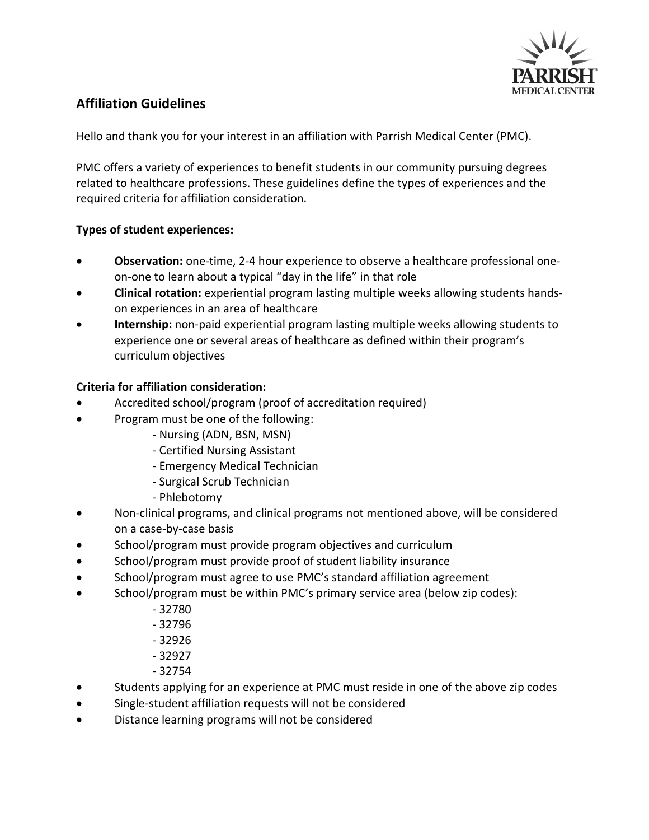

# **Affiliation Guidelines**

Hello and thank you for your interest in an affiliation with Parrish Medical Center (PMC).

PMC offers a variety of experiences to benefit students in our community pursuing degrees related to healthcare professions. These guidelines define the types of experiences and the required criteria for affiliation consideration.

### **Types of student experiences:**

- · **Observation:** one-time, 2-4 hour experience to observe a healthcare professional oneon-one to learn about a typical "day in the life" in that role
- · **Clinical rotation:** experiential program lasting multiple weeks allowing students handson experiences in an area of healthcare
- · **Internship:** non-paid experiential program lasting multiple weeks allowing students to experience one or several areas of healthcare as defined within their program's curriculum objectives

### **Criteria for affiliation consideration:**

- Accredited school/program (proof of accreditation required)
- · Program must be one of the following:
	- Nursing (ADN, BSN, MSN)
	- Certified Nursing Assistant
	- Emergency Medical Technician
	- Surgical Scrub Technician
	- Phlebotomy
- · Non-clinical programs, and clinical programs not mentioned above, will be considered on a case-by-case basis
- School/program must provide program objectives and curriculum
- · School/program must provide proof of student liability insurance
- · School/program must agree to use PMC's standard affiliation agreement
- · School/program must be within PMC's primary service area (below zip codes):
	- 32780
	- 32796
	- 32926
	- 32927
	- 32754
- Students applying for an experience at PMC must reside in one of the above zip codes
- · Single-student affiliation requests will not be considered
- Distance learning programs will not be considered